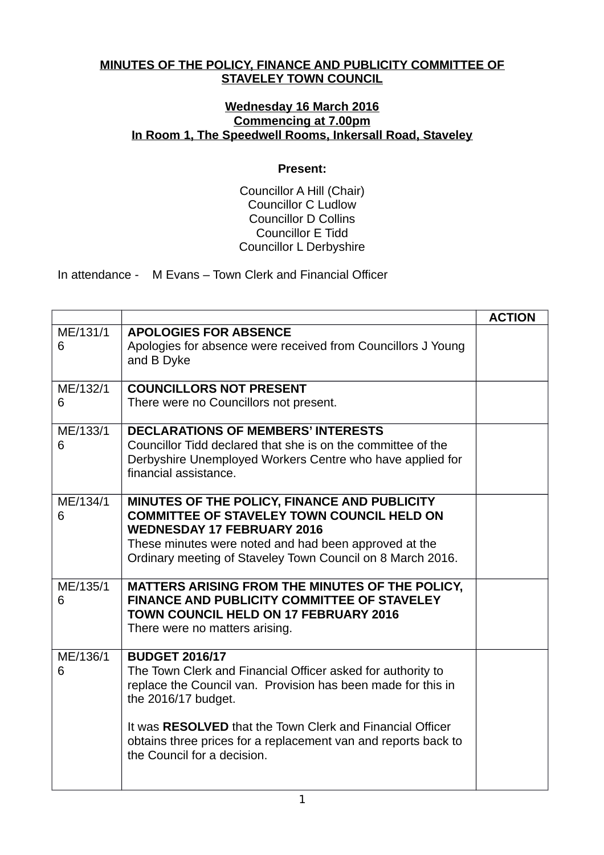## **MINUTES OF THE POLICY, FINANCE AND PUBLICITY COMMITTEE OF STAVELEY TOWN COUNCIL**

## **Wednesday 16 March 2016 Commencing at 7.00pm In Room 1, The Speedwell Rooms, Inkersall Road, Staveley**

## **Present:**

Councillor A Hill (Chair) Councillor C Ludlow Councillor D Collins Councillor E Tidd Councillor L Derbyshire

In attendance - M Evans – Town Clerk and Financial Officer

|               |                                                                                                                                                                                                                                                               | <b>ACTION</b> |
|---------------|---------------------------------------------------------------------------------------------------------------------------------------------------------------------------------------------------------------------------------------------------------------|---------------|
| ME/131/1<br>6 | <b>APOLOGIES FOR ABSENCE</b><br>Apologies for absence were received from Councillors J Young<br>and B Dyke                                                                                                                                                    |               |
| ME/132/1<br>6 | <b>COUNCILLORS NOT PRESENT</b><br>There were no Councillors not present.                                                                                                                                                                                      |               |
| ME/133/1<br>6 | <b>DECLARATIONS OF MEMBERS' INTERESTS</b><br>Councillor Tidd declared that she is on the committee of the<br>Derbyshire Unemployed Workers Centre who have applied for<br>financial assistance.                                                               |               |
| ME/134/1<br>6 | MINUTES OF THE POLICY, FINANCE AND PUBLICITY<br><b>COMMITTEE OF STAVELEY TOWN COUNCIL HELD ON</b><br><b>WEDNESDAY 17 FEBRUARY 2016</b><br>These minutes were noted and had been approved at the<br>Ordinary meeting of Staveley Town Council on 8 March 2016. |               |
| ME/135/1<br>6 | MATTERS ARISING FROM THE MINUTES OF THE POLICY,<br><b>FINANCE AND PUBLICITY COMMITTEE OF STAVELEY</b><br>TOWN COUNCIL HELD ON 17 FEBRUARY 2016<br>There were no matters arising.                                                                              |               |
| ME/136/1<br>6 | <b>BUDGET 2016/17</b><br>The Town Clerk and Financial Officer asked for authority to<br>replace the Council van. Provision has been made for this in<br>the 2016/17 budget.                                                                                   |               |
|               | It was RESOLVED that the Town Clerk and Financial Officer<br>obtains three prices for a replacement van and reports back to<br>the Council for a decision.                                                                                                    |               |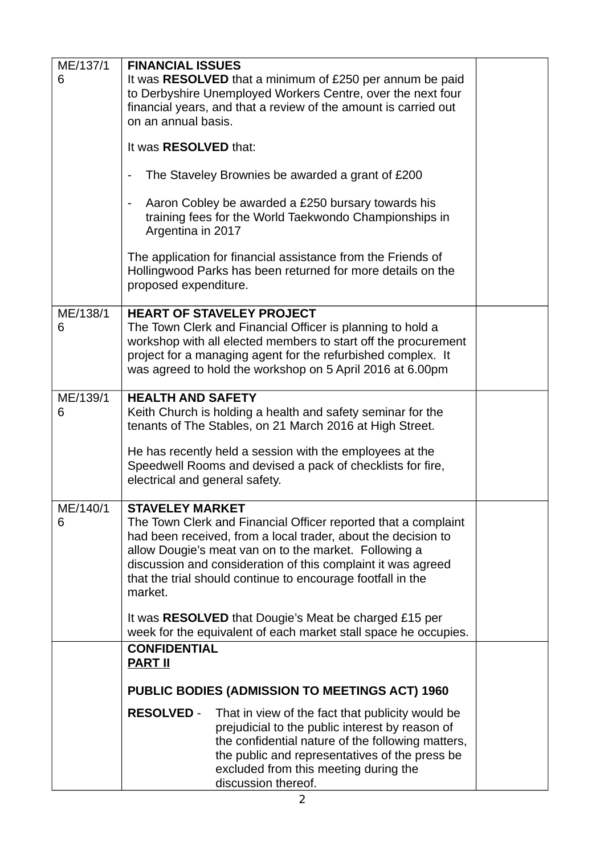| ME/137/1<br>6 | <b>FINANCIAL ISSUES</b><br>It was RESOLVED that a minimum of £250 per annum be paid                                                                                                                                                                                                                                     |  |
|---------------|-------------------------------------------------------------------------------------------------------------------------------------------------------------------------------------------------------------------------------------------------------------------------------------------------------------------------|--|
|               | to Derbyshire Unemployed Workers Centre, over the next four<br>financial years, and that a review of the amount is carried out<br>on an annual basis.                                                                                                                                                                   |  |
|               | It was RESOLVED that:                                                                                                                                                                                                                                                                                                   |  |
|               | The Staveley Brownies be awarded a grant of £200                                                                                                                                                                                                                                                                        |  |
|               | Aaron Cobley be awarded a £250 bursary towards his<br>$\blacksquare$<br>training fees for the World Taekwondo Championships in<br>Argentina in 2017                                                                                                                                                                     |  |
|               | The application for financial assistance from the Friends of<br>Hollingwood Parks has been returned for more details on the<br>proposed expenditure.                                                                                                                                                                    |  |
| ME/138/1<br>6 | <b>HEART OF STAVELEY PROJECT</b><br>The Town Clerk and Financial Officer is planning to hold a                                                                                                                                                                                                                          |  |
|               | workshop with all elected members to start off the procurement<br>project for a managing agent for the refurbished complex. It                                                                                                                                                                                          |  |
|               | was agreed to hold the workshop on 5 April 2016 at 6.00pm                                                                                                                                                                                                                                                               |  |
| ME/139/1<br>6 | <b>HEALTH AND SAFETY</b><br>Keith Church is holding a health and safety seminar for the                                                                                                                                                                                                                                 |  |
|               | tenants of The Stables, on 21 March 2016 at High Street.                                                                                                                                                                                                                                                                |  |
|               | He has recently held a session with the employees at the<br>Speedwell Rooms and devised a pack of checklists for fire,<br>electrical and general safety.                                                                                                                                                                |  |
| ME/140/1      | <b>STAVELEY MARKET</b>                                                                                                                                                                                                                                                                                                  |  |
| 6             | The Town Clerk and Financial Officer reported that a complaint<br>had been received, from a local trader, about the decision to<br>allow Dougie's meat van on to the market. Following a<br>discussion and consideration of this complaint it was agreed<br>that the trial should continue to encourage footfall in the |  |
|               | market.                                                                                                                                                                                                                                                                                                                 |  |
|               | It was RESOLVED that Dougie's Meat be charged £15 per<br>week for the equivalent of each market stall space he occupies.                                                                                                                                                                                                |  |
|               | <b>CONFIDENTIAL</b><br><b>PART II</b>                                                                                                                                                                                                                                                                                   |  |
|               | <b>PUBLIC BODIES (ADMISSION TO MEETINGS ACT) 1960</b>                                                                                                                                                                                                                                                                   |  |
|               | <b>RESOLVED -</b><br>That in view of the fact that publicity would be<br>prejudicial to the public interest by reason of<br>the confidential nature of the following matters,<br>the public and representatives of the press be<br>excluded from this meeting during the<br>discussion thereof.                         |  |